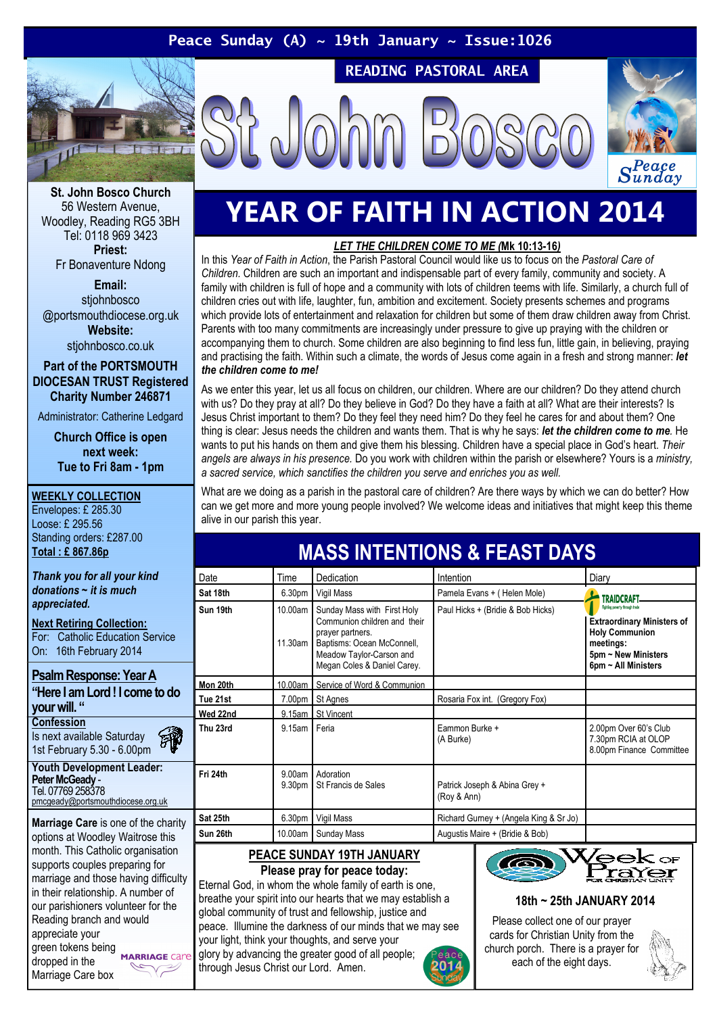#### Peace Sunday (A)  $\sim$  19th January  $\sim$  Issue:1026

READING PASTORAL AREA





St. John Bosco Church 56 Western Avenue, Woodley, Reading RG5 3BH Tel: 0118 969 3423 Priest: Fr Bonaventure Ndong

Email: stiohnbosco @portsmouthdiocese.org.uk Website: stjohnbosco.co.uk

Part of the PORTSMOUTH DIOCESAN TRUST Registered Charity Number 246871

Administrator: Catherine Ledgard

Church Office is open next week: Tue to Fri 8am - 1pm

#### WEEKLY COLLECTION

Envelopes: £ 285.30 Loose: £ 295.56 Standing orders: £287.00 Total : £ 867.86p

Thank you for all your kind  $donations \sim it$  is much appreciated.

Next Retiring Collection: For: Catholic Education Service On: 16th February 2014

#### Psalm Response: Year A "Here I am Lord ! I come to do your will. "

**Confession** Is next available Saturday 1st February 5.30 - 6.00pm

Youth Development Leader: Peter McGeady -Tel. 07769 258378 pmcgeady@portsmouthdiocese.org.uk

Marriage Care is one of the charity options at Woodley Waitrose this month. This Catholic organisation supports couples preparing for marriage and those having difficulty in their relationship. A number of our parishioners volunteer for the Reading branch and would appreciate your green tokens being<br>
MARRIAGE Care dropped in the  $\sqrt{2}$ Marriage Care box

## YEAR OF FAITH IN ACTION 2014

#### LET THE CHILDREN COME TO ME (Mk 10:13-16)

In this Year of Faith in Action, the Parish Pastoral Council would like us to focus on the Pastoral Care of Children. Children are such an important and indispensable part of every family, community and society. A family with children is full of hope and a community with lots of children teems with life. Similarly, a church full of children cries out with life, laughter, fun, ambition and excitement. Society presents schemes and programs which provide lots of entertainment and relaxation for children but some of them draw children away from Christ. Parents with too many commitments are increasingly under pressure to give up praying with the children or accompanying them to church. Some children are also beginning to find less fun, little gain, in believing, praying and practising the faith. Within such a climate, the words of Jesus come again in a fresh and strong manner: let the children come to me!

As we enter this year, let us all focus on children, our children. Where are our children? Do they attend church with us? Do they pray at all? Do they believe in God? Do they have a faith at all? What are their interests? Is Jesus Christ important to them? Do they feel they need him? Do they feel he cares for and about them? One thing is clear: Jesus needs the children and wants them. That is why he says: let the children come to me. He wants to put his hands on them and give them his blessing. Children have a special place in God's heart. Their angels are always in his presence. Do you work with children within the parish or elsewhere? Yours is a ministry, a sacred service, which sanctifies the children you serve and enriches you as well.

What are we doing as a parish in the pastoral care of children? Are there ways by which we can do better? How can we get more and more young people involved? We welcome ideas and initiatives that might keep this theme alive in our parish this year.

MASS INTENTIONS & FEAST DAVS

| <u>MAJJU INTENTIVNJ &amp; FEAJI DATJ</u>      |                    |                                                                                                                                                                          |                                              |                                                                                                                                                         |
|-----------------------------------------------|--------------------|--------------------------------------------------------------------------------------------------------------------------------------------------------------------------|----------------------------------------------|---------------------------------------------------------------------------------------------------------------------------------------------------------|
| Date                                          | Time               | Dedication                                                                                                                                                               | Intention                                    | Diary                                                                                                                                                   |
| Sat 18th                                      | 6.30pm             | Vigil Mass                                                                                                                                                               | Pamela Evans + (Helen Mole)                  | <b>TRAIDCRAFT</b>                                                                                                                                       |
| Sun 19th                                      | 10.00am<br>11.30am | Sunday Mass with First Holy<br>Communion children and their<br>prayer partners.<br>Baptisms: Ocean McConnell,<br>Meadow Taylor-Carson and<br>Megan Coles & Daniel Carey. | Paul Hicks + (Bridie & Bob Hicks)            | Fighting poverty through trade<br><b>Extraordinary Ministers of</b><br><b>Holy Communion</b><br>meetings:<br>5pm ~ New Ministers<br>6pm ~ All Ministers |
| Mon 20th                                      | 10.00am            | Service of Word & Communion                                                                                                                                              |                                              |                                                                                                                                                         |
| Tue 21st                                      | 7.00pm             | St Agnes                                                                                                                                                                 | Rosaria Fox int. (Gregory Fox)               |                                                                                                                                                         |
| Wed 22nd                                      |                    | 9.15am St Vincent                                                                                                                                                        |                                              |                                                                                                                                                         |
| Thu 23rd                                      | 9.15am             | Feria                                                                                                                                                                    | Eammon Burke +<br>(A Burke)                  | 2.00pm Over 60's Club<br>7.30pm RCIA at OLOP<br>8.00pm Finance Committee                                                                                |
| Fri 24th                                      | 9.00am<br>9.30pm   | Adoration<br>St Francis de Sales                                                                                                                                         | Patrick Joseph & Abina Grey +<br>(Roy & Ann) |                                                                                                                                                         |
| Sat 25th                                      | 6.30pm             | Vigil Mass                                                                                                                                                               | Richard Gurney + (Angela King & Sr Jo)       |                                                                                                                                                         |
| Sun 26th                                      | 10.00am            | Sunday Mass                                                                                                                                                              | Augustis Maire + (Bridie & Bob)              |                                                                                                                                                         |
| $\rm{W\!eek}$ or<br>PEACE SUNDAY 19TH JANUARY |                    |                                                                                                                                                                          |                                              |                                                                                                                                                         |

### Please pray for peace today:

Eternal God, in whom the whole family of earth is one, breathe your spirit into our hearts that we may establish a global community of trust and fellowship, justice and peace. Illumine the darkness of our minds that we may see your light, think your thoughts, and serve your glory by advancing the greater good of all people;

through Jesus Christ our Lord. Amen.





#### 18th ~ 25th JANUARY 2014

Please collect one of our prayer cards for Christian Unity from the church porch. There is a prayer for each of the eight days.